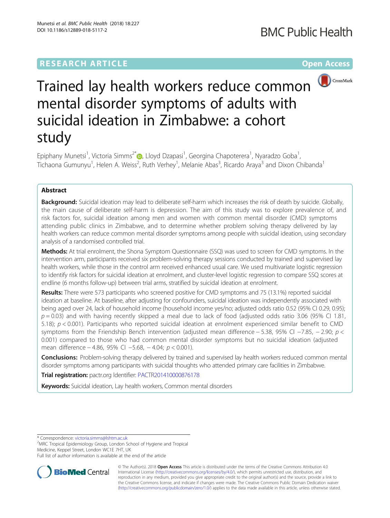## **RESEARCH ARTICLE Example 2014 12:30 The Community Community Community Community Community Community Community**



# Trained lay health workers reduce common mental disorder symptoms of adults with suicidal ideation in Zimbabwe: a cohort study

Epiphany Munetsi<sup>1</sup>, Victoria Simms<sup>2\*</sup>®, Lloyd Dzapasi<sup>1</sup>, Georgina Chapoterera<sup>1</sup>, Nyaradzo Goba<sup>1</sup> , Tichaona Gumunyu<sup>1</sup>, Helen A. Weiss<sup>2</sup>, Ruth Verhey<sup>1</sup>, Melanie Abas<sup>3</sup>, Ricardo Araya<sup>3</sup> and Dixon Chibanda<sup>1</sup>

## Abstract

**Background:** Suicidal ideation may lead to deliberate self-harm which increases the risk of death by suicide. Globally, the main cause of deliberate self-harm is depression. The aim of this study was to explore prevalence of, and risk factors for, suicidal ideation among men and women with common mental disorder (CMD) symptoms attending public clinics in Zimbabwe, and to determine whether problem solving therapy delivered by lay health workers can reduce common mental disorder symptoms among people with suicidal ideation, using secondary analysis of a randomised controlled trial.

Methods: At trial enrolment, the Shona Symptom Questionnaire (SSQ) was used to screen for CMD symptoms. In the intervention arm, participants received six problem-solving therapy sessions conducted by trained and supervised lay health workers, while those in the control arm received enhanced usual care. We used multivariate logistic regression to identify risk factors for suicidal ideation at enrolment, and cluster-level logistic regression to compare SSQ scores at endline (6 months follow-up) between trial arms, stratified by suicidal ideation at enrolment.

Results: There were 573 participants who screened positive for CMD symptoms and 75 (13.1%) reported suicidal ideation at baseline. At baseline, after adjusting for confounders, suicidal ideation was independently associated with being aged over 24, lack of household income (household income yes/no; adjusted odds ratio 0.52 (95% CI 0.29, 0.95);  $p = 0.03$ ) and with having recently skipped a meal due to lack of food (adjusted odds ratio 3.06 (95% CI 1.81, 5.18); p < 0.001). Participants who reported suicidal ideation at enrolment experienced similar benefit to CMD symptoms from the Friendship Bench intervention (adjusted mean difference − 5.38, 95% CI −7.85, − 2.90; p < 0.001) compared to those who had common mental disorder symptoms but no suicidal ideation (adjusted mean difference − 4.86, 95% CI −5.68, − 4.04; p < 0.001).

Conclusions: Problem-solving therapy delivered by trained and supervised lay health workers reduced common mental disorder symptoms among participants with suicidal thoughts who attended primary care facilities in Zimbabwe.

Trial registration: pactr.org Identifier: [PACTR201410000876178](http://www.pactr.org/ATMWeb/appmanager/atm/atmregistry?_nfpb=true&_windowLabel=basicSearch_1_2&basicSearch_1_2_actionOverride=%2Fpageflows%2Ftrial%2FbasicSearch%2FviewTrail&basicSearch_1_2id=876)

Keywords: Suicidal ideation, Lay health workers, Common mental disorders

\* Correspondence: [victoria.simms@lshtm.ac.uk](mailto:victoria.simms@lshtm.ac.uk) <sup>2</sup>

<sup>2</sup>MRC Tropical Epidemiology Group, London School of Hygiene and Tropical Medicine, Keppel Street, London WC1E 7HT, UK

Full list of author information is available at the end of the article



© The Author(s). 2018 Open Access This article is distributed under the terms of the Creative Commons Attribution 4.0 International License [\(http://creativecommons.org/licenses/by/4.0/](http://creativecommons.org/licenses/by/4.0/)), which permits unrestricted use, distribution, and reproduction in any medium, provided you give appropriate credit to the original author(s) and the source, provide a link to the Creative Commons license, and indicate if changes were made. The Creative Commons Public Domain Dedication waiver [\(http://creativecommons.org/publicdomain/zero/1.0/](http://creativecommons.org/publicdomain/zero/1.0/)) applies to the data made available in this article, unless otherwise stated.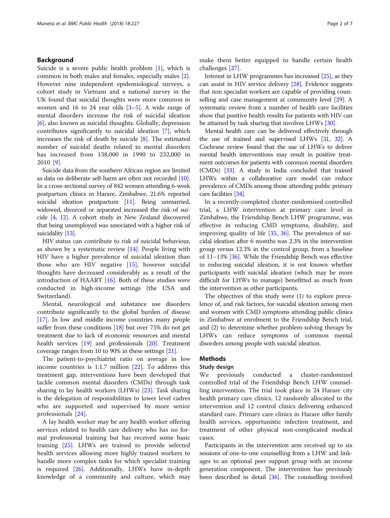## Background

Suicide is a severe public health problem  $[1]$  $[1]$ , which is common in both males and females, especially males [\[2](#page-5-0)]. However nine independent epidemiological surveys, a cohort study in Vietnam and a national survey in the UK found that suicidal thoughts were more common in women and 16 to 24 year olds [[3](#page-5-0)–[5\]](#page-5-0). A wide range of mental disorders increase the risk of suicidal ideation [[6\]](#page-5-0), also known as suicidal thoughts. Globally, depression contributes significantly to suicidal ideation [\[7\]](#page-5-0), which increases the risk of death by suicide [[8\]](#page-5-0). The estimated number of suicidal deaths related to mental disorders has increased from 138,000 in 1990 to 232,000 in 2010 [[9\]](#page-5-0).

Suicide data from the southern African region are limited as data on deliberate self-harm are often not recorded [[10](#page-5-0)]. In a cross-sectional survey of 842 women attending 6-week postpartum clinics in Harare, Zimbabwe, 21.6% reported suicidal ideation postpartum [[11](#page-5-0)]. Being unmarried, widowed, divorced or separated increased the risk of suicide [\[4,](#page-5-0) [12\]](#page-5-0). A cohort study in New Zealand discovered that being unemployed was associated with a higher risk of suicidality [[13](#page-5-0)].

HIV status can contribute to risk of suicidal behaviour, as shown by a systematic review  $[14]$  $[14]$ . People living with HIV have a higher prevalence of suicidal ideation than those who are HIV negative [[15](#page-5-0)], however suicidal thoughts have decreased considerably as a result of the introduction of HAART [[16\]](#page-5-0). Both of these studies were conducted in high-income settings (the USA and Switzerland).

Mental, neurological and substance use disorders contribute significantly to the global burden of disease [[17\]](#page-5-0). In low and middle income countries many people suffer from these conditions [[18](#page-5-0)] but over 75% do not get treatment due to lack of economic resources and mental health services [\[19\]](#page-5-0) and professionals [\[20\]](#page-5-0). Treatment coverage ranges from 10 to 90% in these settings [[21](#page-5-0)].

The patient-to-psychiatrist ratio on average in low income countries is 1:1.7 million [[22\]](#page-5-0). To address this treatment gap, interventions have been developed that tackle common mental disorders (CMDs) through task sharing to lay health workers (LHWs) [[23\]](#page-5-0). Task sharing is the delegation of responsibilities to lower level cadres who are supported and supervised by more senior professionals [[24\]](#page-5-0).

A lay health worker may be any health worker offering services related to health care delivery who has no formal professional training but has received some basic training [\[25\]](#page-5-0). LHWs are trained to provide selected health services allowing more highly trained workers to handle more complex tasks for which specialist training is required [[26\]](#page-5-0). Additionally, LHWs have in-depth knowledge of a community and culture, which may

make them better equipped to handle certain health challenges [[27\]](#page-5-0).

Interest in LHW programmes has increased [[25](#page-5-0)], as they can assist in HIV service delivery [[28](#page-5-0)]. Evidence suggests that non specialist workers are capable of providing coun-selling and case management at community level [\[29\]](#page-5-0). A systematic review from a number of health care facilities show that positive health results for patients with HIV can be attained by task sharing that involves LHWs [\[30\]](#page-5-0).

Mental health care can be delivered effectively through the use of trained and supervised LHWs [\[31,](#page-5-0) [32](#page-5-0)]. A Cochrane review found that the use of LHWs to deliver mental health interventions may result in positive treatment outcomes for patients with common mental disorders (CMDs) [\[33\]](#page-5-0). A study in India concluded that trained LHWs within a collaborative care model can reduce prevalence of CMDs among those attending public primary care facilities [\[34\]](#page-5-0).

In a recently-completed cluster-randomised controlled trial, a LHW intervention at primary care level in Zimbabwe, the Friendship Bench LHW programme, was effective in reducing CMD symptoms, disability, and improving quality of life [[35,](#page-5-0) [36](#page-6-0)]. The prevalence of suicidal ideation after 6 months was 2.3% in the intervention group versus 12.3% in the control group, from a baseline of 11–13% [[36](#page-6-0)]. While the Friendship Bench was effective in reducing suicidal ideation, it is not known whether participants with suicidal ideation (which may be more difficult for LHWs to manage) benefitted as much from the intervention as other participants.

The objectives of this study were (1) to explore prevalence of, and risk factors, for suicidal ideation among men and women with CMD symptoms attending public clinics in Zimbabwe at enrolment to the Friendship Bench trial, and (2) to determine whether problem-solving therapy by LHWs can reduce symptoms of common mental disorders among people with suicidal ideation.

## Methods

#### Study design

We previously conducted a cluster-randomized controlled trial of the Friendship Bench LHW counselling intervention. The trial took place in 24 Harare city health primary care clinics, 12 randomly allocated to the intervention and 12 control clinics delivering enhanced standard care. Primary care clinics in Harare offer family health services, opportunistic infection treatment, and treatment of other physical non-complicated medical cases.

Participants in the intervention arm received up to six sessions of one-to-one counselling from a LHW and linkages to an optional peer support group with an income generation component. The intervention has previously been described in detail [\[36\]](#page-6-0). The counselling involved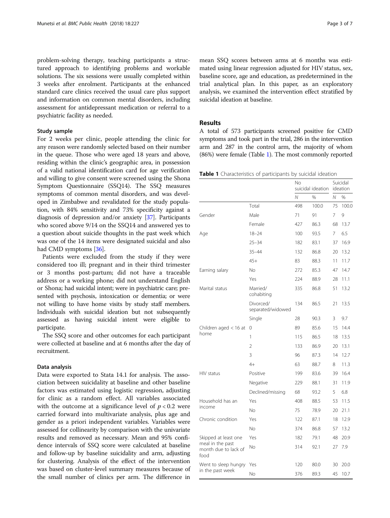problem-solving therapy, teaching participants a structured approach to identifying problems and workable solutions. The six sessions were usually completed within 3 weeks after enrolment. Participants at the enhanced standard care clinics received the usual care plus support and information on common mental disorders, including assessment for antidepressant medication or referral to a psychiatric facility as needed.

## Study sample

For 2 weeks per clinic, people attending the clinic for any reason were randomly selected based on their number in the queue. Those who were aged 18 years and above, residing within the clinic's geographic area, in possession of a valid national identification card for age verification and willing to give consent were screened using the Shona Symptom Questionnaire (SSQ14). The SSQ measures symptoms of common mental disorders, and was developed in Zimbabwe and revalidated for the study population, with 84% sensitivity and 73% specificity against a diagnosis of depression and/or anxiety [\[37\]](#page-6-0). Participants who scored above 9/14 on the SSQ14 and answered yes to a question about suicide thoughts in the past week which was one of the 14 items were designated suicidal and also had CMD symptoms [\[36\]](#page-6-0).

Patients were excluded from the study if they were considered too ill; pregnant and in their third trimester or 3 months post-partum; did not have a traceable address or a working phone; did not understand English or Shona; had suicidal intent; were in psychiatric care; presented with psychosis, intoxication or dementia; or were not willing to have home visits by study staff members. Individuals with suicidal ideation but not subsequently assessed as having suicidal intent were eligible to participate.

The SSQ score and other outcomes for each participant were collected at baseline and at 6 months after the day of recruitment.

#### Data analysis

Data were exported to Stata 14.1 for analysis. The association between suicidality at baseline and other baseline factors was estimated using logistic regression, adjusting for clinic as a random effect. All variables associated with the outcome at a significance level of  $p < 0.2$  were carried forward into multivariate analysis, plus age and gender as a priori independent variables. Variables were assessed for collinearity by comparison with the univariate results and removed as necessary. Mean and 95% confidence intervals of SSQ score were calculated at baseline and follow-up by baseline suicidality and arm, adjusting for clustering. Analysis of the effect of the intervention was based on cluster-level summary measures because of the small number of clinics per arm. The difference in mean SSQ scores between arms at 6 months was estimated using linear regression adjusted for HIV status, sex, baseline score, age and education, as predetermined in the trial analytical plan. In this paper, as an exploratory analysis, we examined the intervention effect stratified by suicidal ideation at baseline.

## Results

A total of 573 participants screened positive for CMD symptoms and took part in the trial, 286 in the intervention arm and 287 in the control arm, the majority of whom (86%) were female (Table 1). The most commonly reported

Table 1 Characteristics of participants by suicidal ideation

|                                                  |                                | No<br>suicidal ideation |       | Suicidal<br>ideation |       |
|--------------------------------------------------|--------------------------------|-------------------------|-------|----------------------|-------|
|                                                  |                                | N                       | $\%$  | N                    | $\%$  |
|                                                  | Total                          | 498                     | 100.0 | 75                   | 100.0 |
| Gender                                           | Male                           | 71                      | 91    | 7                    | 9     |
|                                                  | Female                         | 427                     | 86.3  | 68                   | 13.7  |
| Age                                              | $18 - 24$                      | 100                     | 93.5  | 7                    | 6.5   |
|                                                  | $25 - 34$                      | 182                     | 83.1  | 37                   | 16.9  |
|                                                  | $35 - 44$                      | 132                     | 86.8  | 20                   | 13.2  |
|                                                  | $45+$                          | 83                      | 88.3  | 11                   | 11.7  |
| Earning salary                                   | No                             | 272                     | 85.3  | 47                   | 14.7  |
|                                                  | Yes                            | 224                     | 88.9  | 28                   | 11.1  |
| Marital status                                   | Married/<br>cohabiting         | 335                     | 86.8  | 51                   | 13.2  |
|                                                  | Divorced/<br>separated/widowed | 134                     | 86.5  | 21                   | 13.5  |
|                                                  | Single                         | 28                      | 90.3  | 3                    | 9.7   |
| Children aged $<$ 16 at<br>home                  | 0                              | 89                      | 85.6  | 15                   | 14.4  |
|                                                  | 1                              | 115                     | 86.5  | 18                   | 13.5  |
|                                                  | $\overline{2}$                 | 133                     | 86.9  | 20                   | 13.1  |
|                                                  | 3                              | 96                      | 87.3  | 14                   | 12.7  |
|                                                  | $4+$                           | 63                      | 88.7  | 8                    | 11.3  |
| HIV status                                       | Positive                       | 199                     | 83.6  | 39                   | 16.4  |
|                                                  | Negative                       | 229                     | 88.1  | 31                   | 11.9  |
|                                                  | Declined/missing               | 68                      | 93.2  | 5                    | 6.8   |
| Household has an                                 | Yes                            | 408                     | 88.5  | 53                   | 11.5  |
| income                                           | No                             | 75                      | 78.9  | 20                   | 21.1  |
| Chronic condition                                | Yes                            | 122                     | 87.1  | 18                   | 12.9  |
|                                                  | No                             | 374                     | 86.8  | 57                   | 13.2  |
| Skipped at least one                             | Yes                            | 182                     | 79.1  | 48                   | 20.9  |
| meal in the past<br>month due to lack of<br>food | No                             | 314                     | 92.1  | 27                   | 7.9   |
| Went to sleep hungry                             | Yes                            | 120                     | 80.0  | 30                   | 20.0  |
| in the past week                                 | No                             | 376                     | 89.3  | 45                   | 10.7  |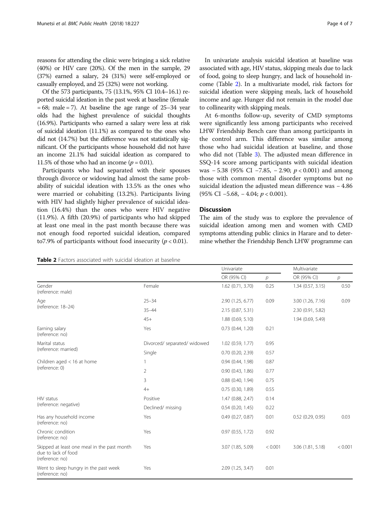reasons for attending the clinic were bringing a sick relative (40%) or HIV care (20%). Of the men in the sample, 29 (37%) earned a salary, 24 (31%) were self-employed or casually employed, and 25 (32%) were not working.

Of the 573 participants, 75 (13.1%, 95% CI 10.4–16.1) reported suicidal ideation in the past week at baseline (female  $= 68$ ; male  $= 7$ ). At baseline the age range of 25–34 year olds had the highest prevalence of suicidal thoughts (16.9%). Participants who earned a salary were less at risk of suicidal ideation (11.1%) as compared to the ones who did not (14.7%) but the difference was not statistically significant. Of the participants whose household did not have an income 21.1% had suicidal ideation as compared to 11.5% of those who had an income ( $p = 0.01$ ).

Participants who had separated with their spouses through divorce or widowing had almost the same probability of suicidal ideation with 13.5% as the ones who were married or cohabiting (13.2%). Participants living with HIV had slightly higher prevalence of suicidal ideation (16.4%) than the ones who were HIV negative (11.9%). A fifth (20.9%) of participants who had skipped at least one meal in the past month because there was not enough food reported suicidal ideation, compared to7.9% of participants without food insecurity ( $p < 0.01$ ).

| <b>Table 2</b> Factors associated with suicidal ideation at baseline |  |
|----------------------------------------------------------------------|--|
|----------------------------------------------------------------------|--|

In univariate analysis suicidal ideation at baseline was associated with age, HIV status, skipping meals due to lack of food, going to sleep hungry, and lack of household income (Table 2). In a multivariate model, risk factors for suicidal ideation were skipping meals, lack of household income and age. Hunger did not remain in the model due to collinearity with skipping meals.

At 6-months follow-up, severity of CMD symptoms were significantly less among participants who received LHW Friendship Bench care than among participants in the control arm. This difference was similar among those who had suicidal ideation at baseline, and those who did not (Table [3\)](#page-4-0). The adjusted mean difference in SSQ-14 score among participants with suicidal ideation was − 5.38 (95% CI −7.85, − 2.90; p < 0.001) and among those with common mental disorder symptoms but no suicidal ideation the adjusted mean difference was − 4.86 (95% CI −5.68, − 4.04; p < 0.001).

## Discussion

The aim of the study was to explore the prevalence of suicidal ideation among men and women with CMD symptoms attending public clinics in Harare and to determine whether the Friendship Bench LHW programme can

|                                                                                       |                              | Univariate            |               | Multivariate        |         |
|---------------------------------------------------------------------------------------|------------------------------|-----------------------|---------------|---------------------|---------|
|                                                                                       |                              | OR (95% CI)           | $\mathcal{P}$ | OR (95% CI)         | р       |
| Gender<br>(reference: male)                                                           | Female                       | 1.62 (0.71, 3.70)     | 0.25          | 1.34(0.57, 3.15)    | 0.50    |
| Age<br>(reference: 18-24)                                                             | $25 - 34$                    | 2.90 (1.25, 6.77)     | 0.09          | 3.00 (1.26, 7.16)   | 0.09    |
|                                                                                       | $35 - 44$                    | 2.15 (0.87, 5.31)     |               | 2.30 (0.91, 5.82)   |         |
|                                                                                       | $45+$                        | 1.88 (0.69, 5.10)     |               | 1.94 (0.69, 5.49)   |         |
| Earning salary<br>(reference: no)                                                     | Yes                          | 0.73(0.44, 1.20)      | 0.21          |                     |         |
| Marital status                                                                        | Divorced/ separated/ widowed | $1.02$ (0.59, 1.77)   | 0.95          |                     |         |
| (reference: married)                                                                  | Single                       | $0.70$ $(0.20, 2.39)$ | 0.57          |                     |         |
| Children aged $<$ 16 at home                                                          |                              | 0.94(0.44, 1.98)      | 0.87          |                     |         |
| (reference: 0)                                                                        | $\overline{2}$               | 0.90(0.43, 1.86)      | 0.77          |                     |         |
|                                                                                       | 3                            | 0.88 (0.40, 1.94)     | 0.75          |                     |         |
|                                                                                       | $4+$                         | 0.75(0.30, 1.89)      | 0.55          |                     |         |
| <b>HIV status</b>                                                                     | Positive                     | 1.47 (0.88, 2.47)     | 0.14          |                     |         |
| (reference: negative)                                                                 | Declined/ missing            | 0.54(0.20, 1.45)      | 0.22          |                     |         |
| Has any household income<br>(reference: no)                                           | Yes                          | 0.49(0.27, 0.87)      | 0.01          | $0.52$ (0.29, 0.95) | 0.03    |
| Chronic condition<br>(reference: no)                                                  | Yes                          | 0.97(0.55, 1.72)      | 0.92          |                     |         |
| Skipped at least one meal in the past month<br>due to lack of food<br>(reference: no) | Yes                          | 3.07 (1.85, 5.09)     | < 0.001       | 3.06 (1.81, 5.18)   | < 0.001 |
| Went to sleep hungry in the past week<br>(reference: no)                              | Yes                          | 2.09 (1.25, 3.47)     | 0.01          |                     |         |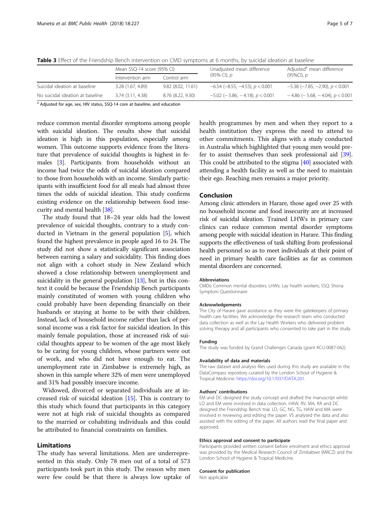<span id="page-4-0"></span>Table 3 Effect of the Friendship Bench intervention on CMD symptoms at 6 months, by suicidal ideation at baseline

|                                  | Mean SSQ-14 score (95% CI) |                    | Unadjusted mean difference                 | Adjusted <sup>a</sup> mean difference      |  |
|----------------------------------|----------------------------|--------------------|--------------------------------------------|--------------------------------------------|--|
|                                  | Intervention arm           | Control arm        | (95% CI), <i>p</i>                         | (95%CI), <i>p</i>                          |  |
| Suicidal ideation at baseline    | 3.28 (1.67, 4.89)          | 9.82 (8.02, 11.61) | $-6.54$ ( $-8.55$ , $-4.53$ ), $p < 0.001$ | $-5.38$ ( $-7.85$ , $-2.90$ ), $p < 0.001$ |  |
| No suicidal ideation at baseline | 3.74(3.11, 4.38)           | 8.76 (8.22, 9.30)  | $-5.02$ (-5.86, -4.18), $p < 0.001$        | $-4.86$ ( $-5.68$ , $-4.04$ ), $p < 0.001$ |  |

<sup>a</sup> Adjusted for age, sex, HIV status, SSQ-14 core at baseline, and education

reduce common mental disorder symptoms among people with suicidal ideation. The results show that suicidal ideation is high in this population, especially among women. This outcome supports evidence from the literature that prevalence of suicidal thoughts is highest in females [\[3](#page-5-0)]. Participants from households without an income had twice the odds of suicidal ideation compared to those from households with an income. Similarly participants with insufficient food for all meals had almost three times the odds of suicidal ideation. This study confirms existing evidence on the relationship between food insecurity and mental health [[38](#page-6-0)].

The study found that 18–24 year olds had the lowest prevalence of suicidal thoughts, contrary to a study conducted in Vietnam in the general population [\[5\]](#page-5-0), which found the highest prevalence in people aged 16 to 24. The study did not show a statistically significant association between earning a salary and suicidality. This finding does not align with a cohort study in New Zealand which showed a close relationship between unemployment and suicidality in the general population [[13](#page-5-0)], but in this context it could be because the Friendship Bench participants mainly constituted of women with young children who could probably have been depending financially on their husbands or staying at home to be with their children. Instead, lack of household income rather than lack of personal income was a risk factor for suicidal ideation. In this mainly female population, those at increased risk of suicidal thoughts appear to be women of the age most likely to be caring for young children, whose partners were out of work, and who did not have enough to eat. The unemployment rate in Zimbabwe is extremely high, as shown in this sample where 32% of men were unemployed and 31% had possibly insecure income.

Widowed, divorced or separated individuals are at increased risk of suicidal ideation  $[15]$  $[15]$ . This is contrary to this study which found that participants in this category were not at high risk of suicidal thoughts as compared to the married or cohabiting individuals and this could be attributed to financial constraints on families.

## Limitations

The study has several limitations. Men are underrepresented in this study. Only 78 men out of a total of 573 participants took part in this study. The reason why men were few could be that there is always low uptake of health programmes by men and when they report to a health institution they express the need to attend to other commitments. This aligns with a study conducted in Australia which highlighted that young men would prefer to assist themselves than seek professional aid [[39](#page-6-0)]. This could be attributed to the stigma [\[40\]](#page-6-0) associated with attending a health facility as well as the need to maintain their ego. Reaching men remains a major priority.

## Conclusion

Among clinic attenders in Harare, those aged over 25 with no household income and food insecurity are at increased risk of suicidal ideation. Trained LHWs in primary care clinics can reduce common mental disorder symptoms among people with suicidal ideation in Harare. This finding supports the effectiveness of task shifting from professional health personnel so as to meet individuals at their point of need in primary health care facilities as far as common mental disorders are concerned.

#### Abbreviations

CMDs: Common mental disorders; LHWs: Lay health workers; SSQ: Shona Symptom Questionnaire

#### Acknowledgements

The City of Harare gave assistance as they were the gatekeepers of primary health care facilities. We acknowledge the research team who conducted data collection as well as the Lay Health Workers who delivered problem solving therapy and all participants who consented to take part in the study.

#### Funding

The study was funded by Grand Challenges Canada (grant KCU-0087-042).

#### Availability of data and materials

The raw dataset and analysis files used during this study are available in the DataCompass repository curated by the London School of Hygiene & Tropical Medicine: [https://doi.org/10.17037/DATA.201.](http://dx.doi.org/10.17037/DATA.201)

#### Authors' contributions

EM and DC designed the study concept and drafted the manuscript whilst LD and EM were involved in data collection. HAW, RV, MA, RA and DC designed the Friendship Bench trial. LD, GC, NG, TG, HAW and MA were involved in reviewing and editing the paper. VS analysed the data and also assisted with the editing of the paper. All authors read the final paper and approved.

#### Ethics approval and consent to participate

Participants provided written consent before enrolment and ethics approval was provided by the Medical Research Council of Zimbabwe (MRCZ) and the London School of Hygiene & Tropical Medicine.

#### Consent for publication

Not applicable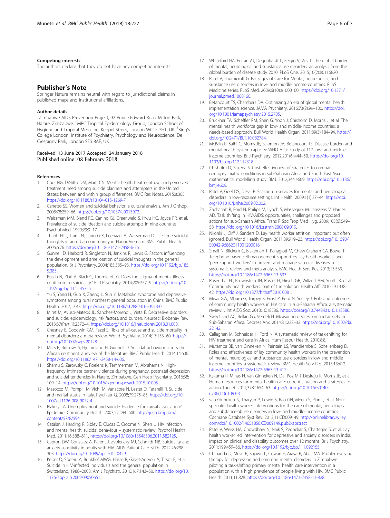#### <span id="page-5-0"></span>Competing interests

The authors declare that they do not have any competing interests.

#### Publisher's Note

Springer Nature remains neutral with regard to jurisdictional claims in published maps and institutional affiliations.

#### Author details

<sup>1</sup>Zimbabwe AIDS Prevention Project, 92 Prince Edward Road Milton Park, Harare, Zimbabwe. <sup>2</sup>MRC Tropical Epidemiology Group, London School of Hygiene and Tropical Medicine, Keppel Street, London WC1E 7HT, UK. <sup>3</sup>King's College London, Institute of Psychiatry, Psychology and Neuroscience, De Crespigny Park, London SE5 8AF, UK.

#### Received: 13 June 2017 Accepted: 24 January 2018 Published online: 08 February 2018

#### References

- 1. Choi NG, DiNitto DM, Marti CN. Mental health treatment use and perceived treatment need among suicide planners and attempters in the United States: between and within group differences. BMC Res Notes. 2015;8:305. [https://doi.org/10.1186/s13104-015-1269-7](http://dx.doi.org/10.1186/s13104-015-1269-7).
- 2. Canetto SS. Women and suicidal behavior: a cultural analysis. Am J Orthop. 2008;78:259–66. [https://doi.org/10.1037/a0013973.](http://dx.doi.org/10.1037/a0013973)
- 3. Weissman MM, Bland RC, Canino GJ, Greenwald S, Hwu HG, Joyce PR, et al. Prevalence of suicide ideation and suicide attempts in nine countries. Psychol Med. 1999;29:9–17.
- 4. Thanh HTT, Tran TN, Jiang G-X, Leenaars A, Wasserman D. Life time suicidal thoughts in an urban community in Hanoi, Vietnam. BMC Public Health. 2006;6:76. [https://doi.org/10.1186/1471-2458-6-76](http://dx.doi.org/10.1186/1471-2458-6-76).
- 5. Gunnell D, Harbord R, Singleton N, Jenkins R, Lewis G. Factors influencing the development and amelioration of suicidal thoughts in the general population. Br J Psychiatry. 2004;185:385–93. [https://doi.org/10.1192/bjp.185.](http://dx.doi.org/10.1192/bjp.185.5.385) [5.385.](http://dx.doi.org/10.1192/bjp.185.5.385)
- 6. Rüsch N, Zlati A, Black G, Thornicroft G. Does the stigma of mental illness contribute to suicidality? Br J Psychiatry. 2014;205:257–9. [https://doi.org/10.](http://dx.doi.org/10.1192/bjp.bp.114.145755) [1192/bjp.bp.114.145755.](http://dx.doi.org/10.1192/bjp.bp.114.145755)
- 7. Yu S, Yang H, Guo X, Zheng L, Sun Y. Metabolic syndrome and depressive symptoms among rural northeast general population in China. BMC Public Health. 2017;17:43. [https://doi.org/10.1186/s12889-016-3913-0.](http://dx.doi.org/10.1186/s12889-016-3913-0)
- 8. Miret M, Ayuso-Mateos JL, Sanchez-Moreno J, Vieta E. Depressive disorders and suicide: epidemiology, risk factors, and burden. Neurosci Biobehav Rev. 2013;37(Part 1):2372–4. [https://doi.org/10.1016/j.neubiorev.2013.01.008.](http://dx.doi.org/10.1016/j.neubiorev.2013.01.008)
- 9. Chesney E, Goodwin GM, Fazel S. Risks of all-cause and suicide mortality in mental disorders: a meta-review. World Psychiatry. 2014;13:153–60. [https://](http://dx.doi.org/10.1002/wps.20128) [doi.org/10.1002/wps.20128](http://dx.doi.org/10.1002/wps.20128).
- 10. Mars B, Burrows S, Hjelmeland H, Gunnell D. Suicidal behaviour across the African continent: a review of the literature. BMC Public Health. 2014;14:606. [https://doi.org/10.1186/1471-2458-14-606.](http://dx.doi.org/10.1186/1471-2458-14-606)
- 11. Shamu S, Zarowsky C, Roelens K, Temmerman M, Abrahams N. Highfrequency intimate partner violence during pregnancy, postnatal depression and suicidal tendencies in Harare, Zimbabwe. Gen Hosp Psychiatry. 2016;38: 109–14. [https://doi.org/10.1016/j.genhosppsych.2015.10.005](http://dx.doi.org/10.1016/j.genhosppsych.2015.10.005).
- 12. Masocco M, Pompili M, Vichi M, Vanacore N, Lester D, Tatarelli R. Suicide and marital status in Italy. Psychiatr Q. 2008;79:275–85. [https://doi.org/10.](http://dx.doi.org/10.1007/s11126-008-9072-4) [1007/s11126-008-9072-4](http://dx.doi.org/10.1007/s11126-008-9072-4).
- 13. Blakely TA. Unemployment and suicide. Evidence for causal association? J Epidemiol Community Health. 2003;57:594–600. [http://jech.bmj.com/](http://jech.bmj.com/content/57/8/594) [content/57/8/594](http://jech.bmj.com/content/57/8/594)
- 14. Catalan J, Harding R, Sibley E, Clucas C, Croome N, Sherr L. HIV infection and mental health: suicidal behaviour – systematic review. Psychol Health Med. 2011;16:588–611. [https://doi.org/10.1080/13548506.2011.582125](http://dx.doi.org/10.1080/13548506.2011.582125).
- 15. Capron DW, Gonzalez A, Parent J, Zvolensky MJ, Schmidt NB. Suicidality and anxiety sensitivity in adults with HIV. AIDS Patient Care STDs. 2012;26:298– 303. [https://doi.org/10.1089/apc.2011.0429](http://dx.doi.org/10.1089/apc.2011.0429).
- 16. Keiser O, Spoerri A, Brinkhof MWG, Hasse B, Gayet-Ageron A, Tissot F, et al. Suicide in HIV-infected individuals and the general population in Switzerland, 1988–2008. Am J Psychiatr. 2010;167:143–50. [https://doi.org/10.](http://dx.doi.org/10.1176/appi.ajp.2009.09050651) [1176/appi.ajp.2009.09050651](http://dx.doi.org/10.1176/appi.ajp.2009.09050651).
- 17. Whiteford HA, Ferrari AJ, Degenhardt L, Feigin V, Vos T. The global burden of mental, neurological and substance use disorders: an analysis from the global burden of disease study 2010. PLoS One. 2015;10(2):e0116820.
- 18. Patel V, Thornicroft G. Packages of Care for Mental, neurological, and substance use disorders in low- and middle-income countries: PLoS Medicine series. PLoS Med. 2009;6(10):e1000160. [https://doi.org/10.1371/](http://dx.doi.org/10.1371/journal.pmed.1000160) [journal.pmed.1000160](http://dx.doi.org/10.1371/journal.pmed.1000160).
- 19. Betancourt TS, Chambers DA. Optimizing an era of global mental health implementation science. JAMA Psychiatry. 2016;73(2):99–100. [https://doi.](http://dx.doi.org/10.1001/jamapsychiatry.2015.2705) [org/10.1001/jamapsychiatry.2015.2705.](http://dx.doi.org/10.1001/jamapsychiatry.2015.2705)
- 20. Bruckner TA, Scheffler RM, Shen G, Yoon J, Chisholm D, Morris J, et al. The mental health workforce gap in low- and middle-income countries: a needs-based approach. Bull World Health Organ. 2011;89(3):184–94. [https://](http://dx.doi.org/10.2471/BLT.10.082784) [doi.org/10.2471/BLT.10.082784.](http://dx.doi.org/10.2471/BLT.10.082784)
- 21. McBain R, Salhi C, Morris JE, Salomon JA, Betancourt TS. Disease burden and mental health system capacity: WHO Atlas study of 117 low- and middleincome countries. Br J Psychiatry. 2012;201(6):444–50. [https://doi.org/10.](http://dx.doi.org/10.1192/bjp.bp.112.112318) [1192/bjp.bp.112.112318.](http://dx.doi.org/10.1192/bjp.bp.112.112318)
- 22. Chisholm D, Saxena S. Cost effectiveness of strategies to combat neuropsychiatric conditions in sub-Saharan Africa and South East Asia: mathematical modelling study. BMJ. 2012;344:e609. [https://doi.org/10.1136/](http://dx.doi.org/10.1136/bmj.e609) [bmj.e609.](http://dx.doi.org/10.1136/bmj.e609)
- 23. Patel V, Goel DS, Desai R. Scaling up services for mental and neurological disorders in low-resource settings. Int Health. 2009;1(1):37–44. [https://doi.](http://dx.doi.org/10.1016/j.inhe.2009.02.002) [org/10.1016/j.inhe.2009.02.002](http://dx.doi.org/10.1016/j.inhe.2009.02.002).
- 24. Zachariah R, Ford N, Philips M, Lynch S, Massaquoi M, Janssens V, Harries AD. Task shifting in HIV/AIDS: opportunities, challenges and proposed actions for sub-Saharan Africa. Trans R Soc Trop Med Hyg. 2009;103(6):549– 58. [https://doi.org/10.1016/j.trstmh.2008.09.019.](http://dx.doi.org/10.1016/j.trstmh.2008.09.019)
- 25. Nkonki L, Cliff J, Sanders D. Lay health worker attrition: important but often ignored. Bull World Health Organ. 2011;89:919–23. [https://doi.org/10.1590/](http://dx.doi.org/10.1590/S0042-96862011001200016) [S0042-96862011001200016.](http://dx.doi.org/10.1590/S0042-96862011001200016)
- 26. Small N, Blickem C, Blakeman T, Panagioti M, Chew-Graham CA, Bower P. Telephone based self-management support by 'lay health workers' and 'peer support workers' to prevent and manage vascular diseases: a systematic review and meta-analysis. BMC Health Serv Res. 2013;13:533. [https://doi.org/10.1186/1472-6963-13-533.](http://dx.doi.org/10.1186/1472-6963-13-533)
- 27. Rosenthal EL, Brownstein JN, Rush CH, Hirsch GR, Willaert AM, Scott JR, et al. Community health workers: part of the solution. Health Aff. 2010;29:1338– 42. [https://doi.org/10.1377/hlthaff.2010.0081.](http://dx.doi.org/10.1377/hlthaff.2010.0081)
- 28. Mwai GW, Mburu G, Torpey K, Frost P, Ford N, Seeley J. Role and outcomes of community health workers in HIV care in sub-Saharan Africa: a systematic review. J Int AIDS Soc. 2013;16:18586. [https://doi.org/10.7448/ias.16.1.18586.](http://dx.doi.org/10.7448/ias.16.1.18586)
- 29. Sweetland AC, Belkin GS, Verdeli H. Measuring depression and anxiety in Sub-Saharan Africa. Depress Anx. 2014;31:223–32. [https://doi.org/10.1002/da.](http://dx.doi.org/10.1002/da.22142) [22142.](http://dx.doi.org/10.1002/da.22142)
- 30. Callaghan M, Schneider H, Ford N. A systematic review of task-shifting for HIV treatment and care in Africa. Hum Resour Health. 2010;8:8.
- 31. Mutamba BB, van Ginneken N, Paintain LS, Wandiembe S, Schellenberg D. Roles and effectiveness of lay community health workers in the prevention of mental, neurological and substance use disorders in low and middle income countries: a systematic review. BMC Health Serv Res. 2013;13:412. [https://doi.org/10.1186/1472-6963-13-412.](http://dx.doi.org/10.1186/1472-6963-13-412)
- 32. Kakuma R, Minas H, van Ginneken N, Dal Poz MR, Desiraju K, Morris JE, et al. Human resources for mental health care: current situation and strategies for action. Lancet. 2011;378:1654–63. [https://doi.org/10.1016/S0140-](http://dx.doi.org/10.1016/S0140-6736(11)61093-3) [6736\(11\)61093-3](http://dx.doi.org/10.1016/S0140-6736(11)61093-3).
- 33. van Ginneken N, Tharyan P, Lewin S, Rao GN, Meera S, Pian J, et al. Nonspecialist health worker interventions for the care of mental, neurological and substance-abuse disorders in low- and middle-income countries. Cochrane Database Syst Rev. 2013;11:CD009149. [http://onlinelibrary.wiley.](http://onlinelibrary.wiley.com/doi/10.1002/14651858.CD009149.pub2/abstract) [com/doi/10.1002/14651858.CD009149.pub2/abstract](http://onlinelibrary.wiley.com/doi/10.1002/14651858.CD009149.pub2/abstract)
- 34. Patel V, Weiss HA, Chowdhary N, Naik S, Pednekar S, Chatterjee S, et al. Lay health worker led intervention for depressive and anxiety disorders in India: impact on clinical and disability outcomes over 12 months. Br J Psychiatry. 2011;199:459–66. [https://doi.org/10.1192/bjp.bp.111.092155](http://dx.doi.org/10.1192/bjp.bp.111.092155).
- 35. Chibanda D, Mesu P, Kajawu L, Cowan F, Araya R, Abas MA. Problem-solving therapy for depression and common mental disorders in Zimbabwe: piloting a task-shifting primary mental health care intervention in a population with a high prevalence of people living with HIV. BMC Public Health. 2011;11:828. [https://doi.org/10.1186/1471-2458-11-828.](http://dx.doi.org/10.1186/1471-2458-11-828)